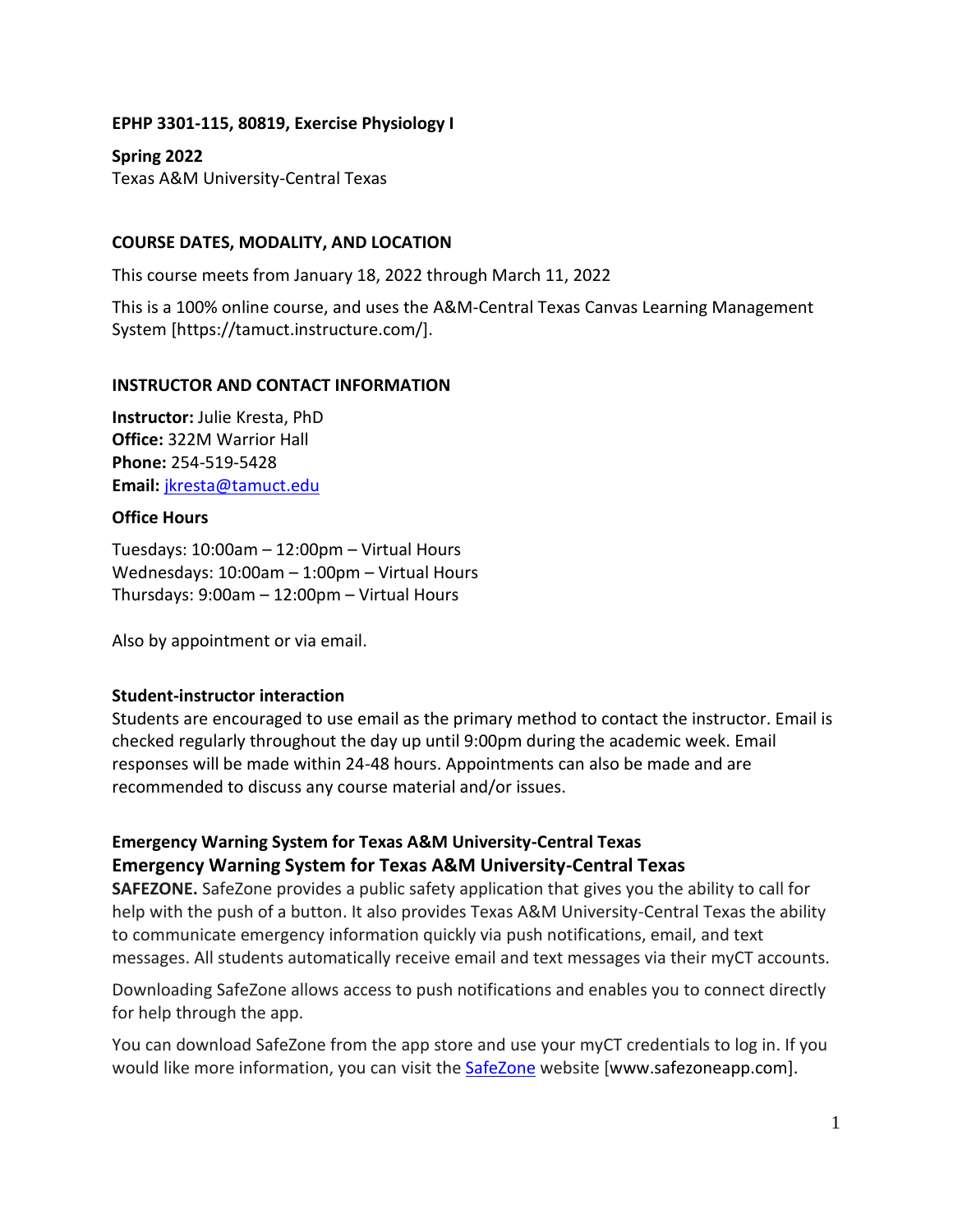#### **EPHP 3301-115, 80819, Exercise Physiology I**

**Spring 2022** Texas A&M University-Central Texas

### **COURSE DATES, MODALITY, AND LOCATION**

This course meets from January 18, 2022 through March 11, 2022

This is a 100% online course, and uses the A&M-Central Texas Canvas Learning Management System [https://tamuct.instructure.com/].

#### **INSTRUCTOR AND CONTACT INFORMATION**

**Instructor:** Julie Kresta, PhD **Office:** 322M Warrior Hall **Phone:** 254-519-5428 **Email:** [jkresta@tamuct.edu](mailto:jkresta@tamuct.edu)

#### **Office Hours**

Tuesdays: 10:00am – 12:00pm – Virtual Hours Wednesdays: 10:00am – 1:00pm – Virtual Hours Thursdays: 9:00am – 12:00pm – Virtual Hours

Also by appointment or via email.

#### **Student-instructor interaction**

Students are encouraged to use email as the primary method to contact the instructor. Email is checked regularly throughout the day up until 9:00pm during the academic week. Email responses will be made within 24-48 hours. Appointments can also be made and are recommended to discuss any course material and/or issues.

# **Emergency Warning System for Texas A&M University-Central Texas Emergency Warning System for Texas A&M University-Central Texas**

**SAFEZONE.** SafeZone provides a public safety application that gives you the ability to call for help with the push of a button. It also provides Texas A&M University-Central Texas the ability to communicate emergency information quickly via push notifications, email, and text messages. All students automatically receive email and text messages via their myCT accounts.

Downloading SafeZone allows access to push notifications and enables you to connect directly for help through the app.

You can download SafeZone from the app store and use your myCT credentials to log in. If you would like more information, you can visit the **[SafeZone](http://www.safezoneapp.com/) website [www.safezoneapp.com]**.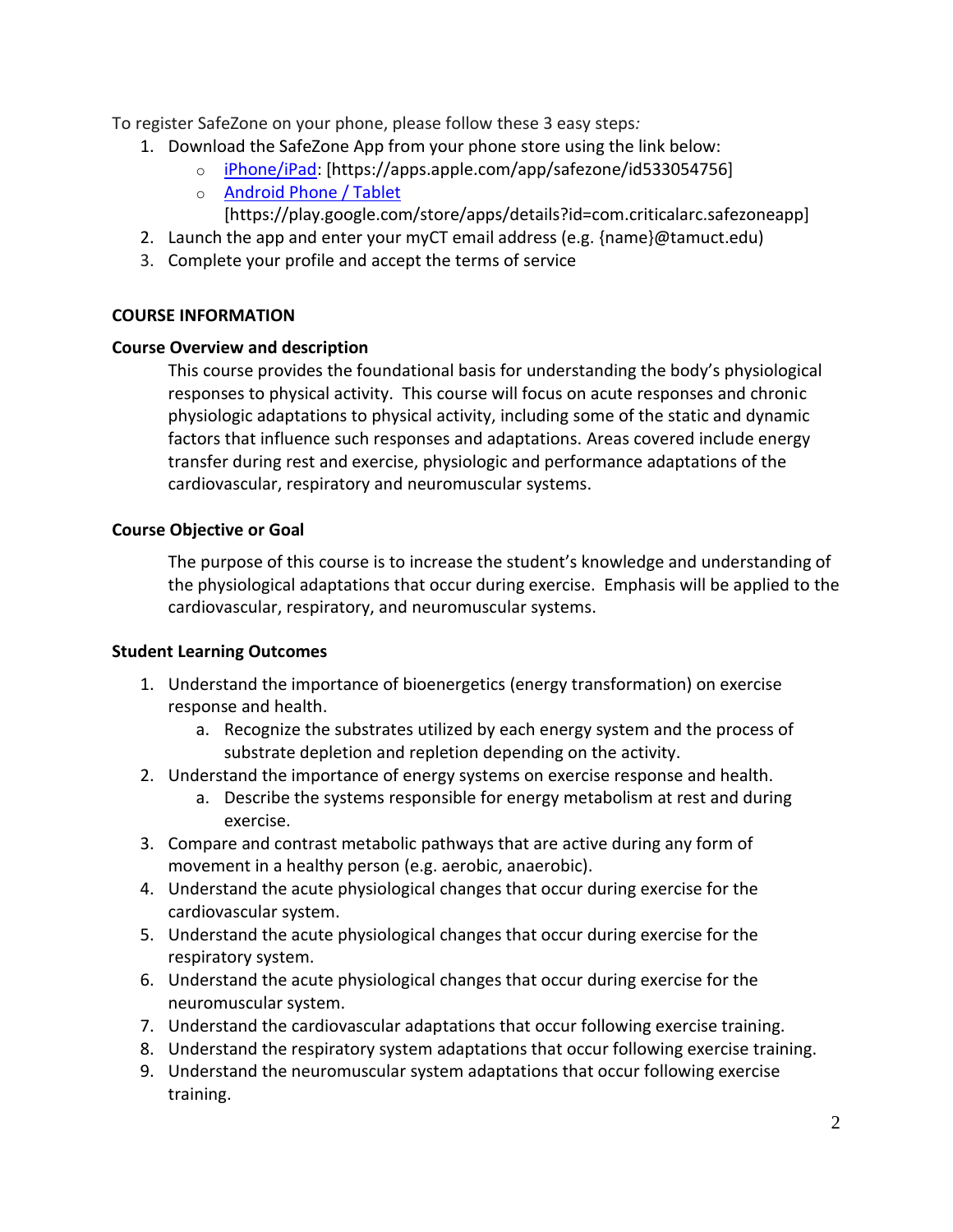To register SafeZone on your phone, please follow these 3 easy steps*:*

- 1. Download the SafeZone App from your phone store using the link below:
	- o [iPhone/iPad:](https://apps.apple.com/app/safezone/id533054756) [https://apps.apple.com/app/safezone/id533054756]
	- o [Android Phone / Tablet](https://play.google.com/store/apps/details?id=com.criticalarc.safezoneapp) [https://play.google.com/store/apps/details?id=com.criticalarc.safezoneapp]
- 2. Launch the app and enter your myCT email address (e.g. {name}@tamuct.edu)
- 3. Complete your profile and accept the terms of service

## **COURSE INFORMATION**

## **Course Overview and description**

This course provides the foundational basis for understanding the body's physiological responses to physical activity. This course will focus on acute responses and chronic physiologic adaptations to physical activity, including some of the static and dynamic factors that influence such responses and adaptations. Areas covered include energy transfer during rest and exercise, physiologic and performance adaptations of the cardiovascular, respiratory and neuromuscular systems.

# **Course Objective or Goal**

The purpose of this course is to increase the student's knowledge and understanding of the physiological adaptations that occur during exercise. Emphasis will be applied to the cardiovascular, respiratory, and neuromuscular systems.

## **Student Learning Outcomes**

- 1. Understand the importance of bioenergetics (energy transformation) on exercise response and health.
	- a. Recognize the substrates utilized by each energy system and the process of substrate depletion and repletion depending on the activity.
- 2. Understand the importance of energy systems on exercise response and health.
	- a. Describe the systems responsible for energy metabolism at rest and during exercise.
- 3. Compare and contrast metabolic pathways that are active during any form of movement in a healthy person (e.g. aerobic, anaerobic).
- 4. Understand the acute physiological changes that occur during exercise for the cardiovascular system.
- 5. Understand the acute physiological changes that occur during exercise for the respiratory system.
- 6. Understand the acute physiological changes that occur during exercise for the neuromuscular system.
- 7. Understand the cardiovascular adaptations that occur following exercise training.
- 8. Understand the respiratory system adaptations that occur following exercise training.
- 9. Understand the neuromuscular system adaptations that occur following exercise training.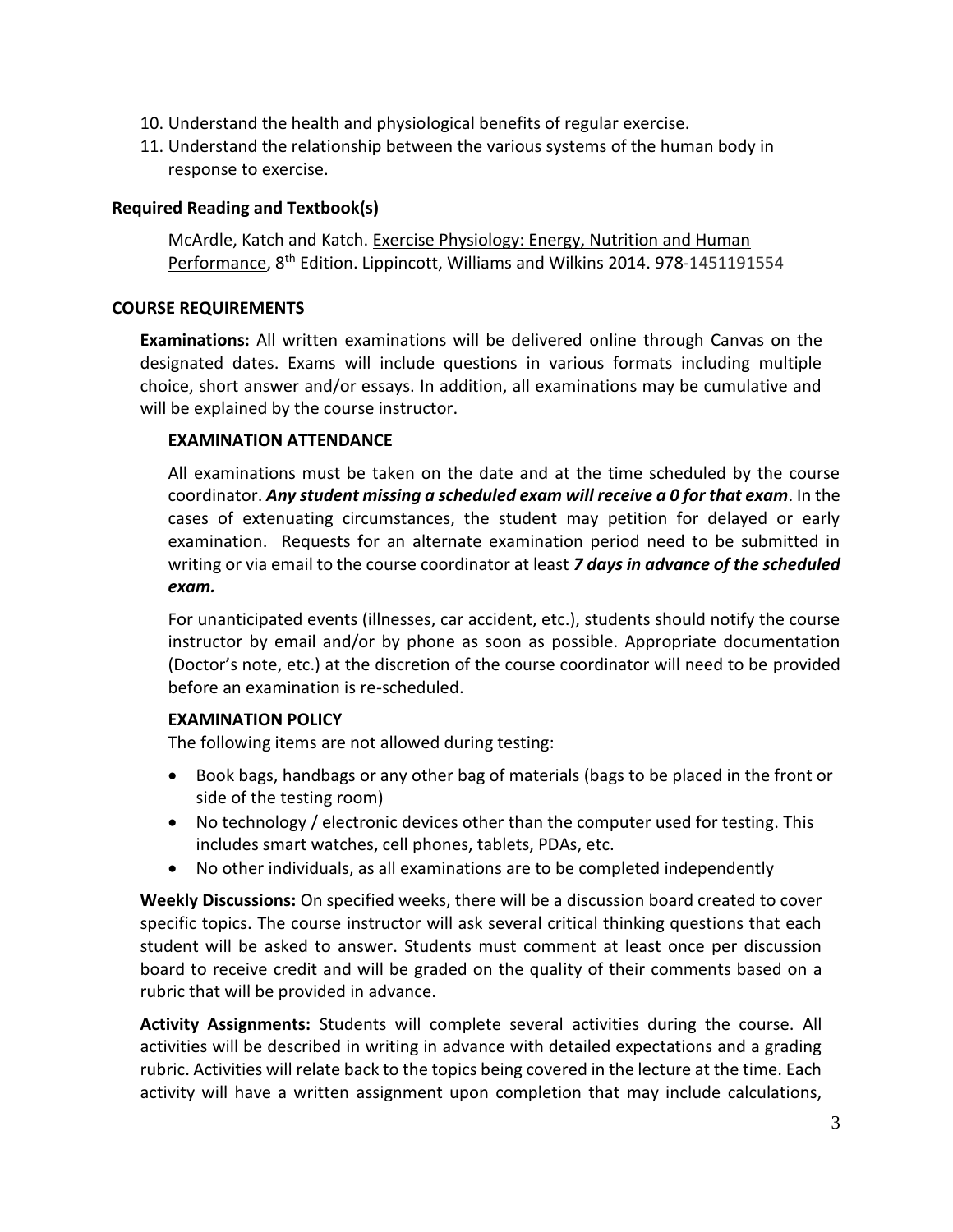- 10. Understand the health and physiological benefits of regular exercise.
- 11. Understand the relationship between the various systems of the human body in response to exercise.

#### **Required Reading and Textbook(s)**

McArdle, Katch and Katch. Exercise Physiology: Energy, Nutrition and Human Performance, 8<sup>th</sup> Edition. Lippincott, Williams and Wilkins 2014. 978-1451191554

#### **COURSE REQUIREMENTS**

**Examinations:** All written examinations will be delivered online through Canvas on the designated dates. Exams will include questions in various formats including multiple choice, short answer and/or essays. In addition, all examinations may be cumulative and will be explained by the course instructor.

#### **EXAMINATION ATTENDANCE**

All examinations must be taken on the date and at the time scheduled by the course coordinator. *Any student missing a scheduled exam will receive a 0 for that exam*. In the cases of extenuating circumstances, the student may petition for delayed or early examination. Requests for an alternate examination period need to be submitted in writing or via email to the course coordinator at least *7 days in advance of the scheduled exam.* 

For unanticipated events (illnesses, car accident, etc.), students should notify the course instructor by email and/or by phone as soon as possible. Appropriate documentation (Doctor's note, etc.) at the discretion of the course coordinator will need to be provided before an examination is re-scheduled.

#### **EXAMINATION POLICY**

The following items are not allowed during testing:

- Book bags, handbags or any other bag of materials (bags to be placed in the front or side of the testing room)
- No technology / electronic devices other than the computer used for testing. This includes smart watches, cell phones, tablets, PDAs, etc.
- No other individuals, as all examinations are to be completed independently

**Weekly Discussions:** On specified weeks, there will be a discussion board created to cover specific topics. The course instructor will ask several critical thinking questions that each student will be asked to answer. Students must comment at least once per discussion board to receive credit and will be graded on the quality of their comments based on a rubric that will be provided in advance.

**Activity Assignments:** Students will complete several activities during the course. All activities will be described in writing in advance with detailed expectations and a grading rubric. Activities will relate back to the topics being covered in the lecture at the time. Each activity will have a written assignment upon completion that may include calculations,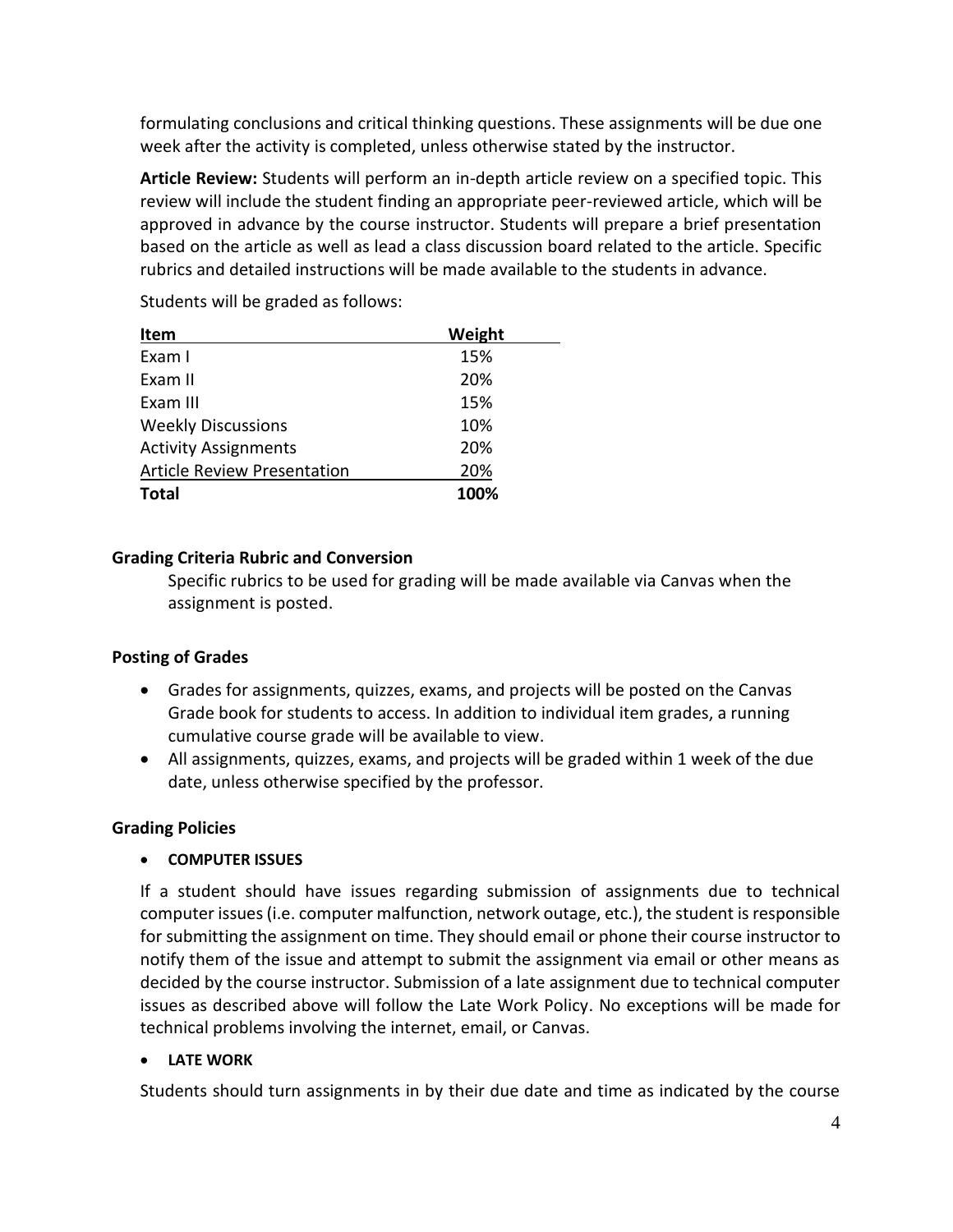formulating conclusions and critical thinking questions. These assignments will be due one week after the activity is completed, unless otherwise stated by the instructor.

**Article Review:** Students will perform an in-depth article review on a specified topic. This review will include the student finding an appropriate peer-reviewed article, which will be approved in advance by the course instructor. Students will prepare a brief presentation based on the article as well as lead a class discussion board related to the article. Specific rubrics and detailed instructions will be made available to the students in advance.

| Item                               | Weight |
|------------------------------------|--------|
| Exam I                             | 15%    |
| Exam II                            | 20%    |
| Exam III                           | 15%    |
| <b>Weekly Discussions</b>          | 10%    |
| <b>Activity Assignments</b>        | 20%    |
| <b>Article Review Presentation</b> | 20%    |
| <b>Total</b>                       | 100%   |

Students will be graded as follows:

## **Grading Criteria Rubric and Conversion**

Specific rubrics to be used for grading will be made available via Canvas when the assignment is posted.

## **Posting of Grades**

- Grades for assignments, quizzes, exams, and projects will be posted on the Canvas Grade book for students to access. In addition to individual item grades, a running cumulative course grade will be available to view.
- All assignments, quizzes, exams, and projects will be graded within 1 week of the due date, unless otherwise specified by the professor.

## **Grading Policies**

## • **COMPUTER ISSUES**

If a student should have issues regarding submission of assignments due to technical computer issues (i.e. computer malfunction, network outage, etc.), the student is responsible for submitting the assignment on time. They should email or phone their course instructor to notify them of the issue and attempt to submit the assignment via email or other means as decided by the course instructor. Submission of a late assignment due to technical computer issues as described above will follow the Late Work Policy. No exceptions will be made for technical problems involving the internet, email, or Canvas.

## • **LATE WORK**

Students should turn assignments in by their due date and time as indicated by the course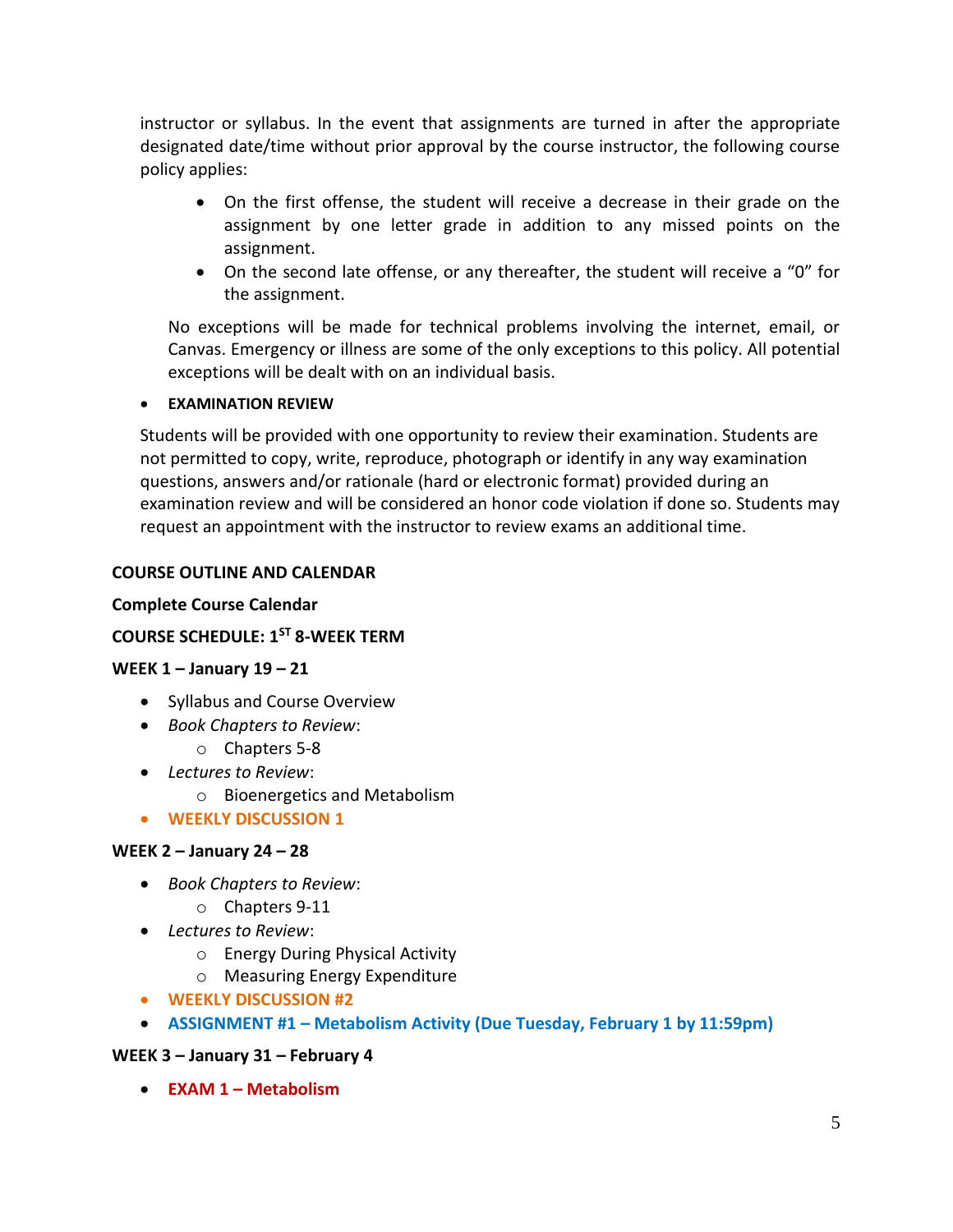instructor or syllabus. In the event that assignments are turned in after the appropriate designated date/time without prior approval by the course instructor, the following course policy applies:

- On the first offense, the student will receive a decrease in their grade on the assignment by one letter grade in addition to any missed points on the assignment.
- On the second late offense, or any thereafter, the student will receive a "0" for the assignment.

No exceptions will be made for technical problems involving the internet, email, or Canvas. Emergency or illness are some of the only exceptions to this policy. All potential exceptions will be dealt with on an individual basis.

### • **EXAMINATION REVIEW**

Students will be provided with one opportunity to review their examination. Students are not permitted to copy, write, reproduce, photograph or identify in any way examination questions, answers and/or rationale (hard or electronic format) provided during an examination review and will be considered an honor code violation if done so. Students may request an appointment with the instructor to review exams an additional time.

## **COURSE OUTLINE AND CALENDAR**

#### **Complete Course Calendar**

## **COURSE SCHEDULE: 1ST 8-WEEK TERM**

#### **WEEK 1 – January 19 – 21**

- Syllabus and Course Overview
- *Book Chapters to Review*:
	- o Chapters 5-8
- *Lectures to Review*:
	- o Bioenergetics and Metabolism
- **WEEKLY DISCUSSION 1**

#### **WEEK 2 – January 24 – 28**

- *Book Chapters to Review*:
	- o Chapters 9-11
- *Lectures to Review*:
	- o Energy During Physical Activity
	- o Measuring Energy Expenditure
- **WEEKLY DISCUSSION #2**
- **ASSIGNMENT #1 – Metabolism Activity (Due Tuesday, February 1 by 11:59pm)**

#### **WEEK 3 – January 31 – February 4**

• **EXAM 1 – Metabolism**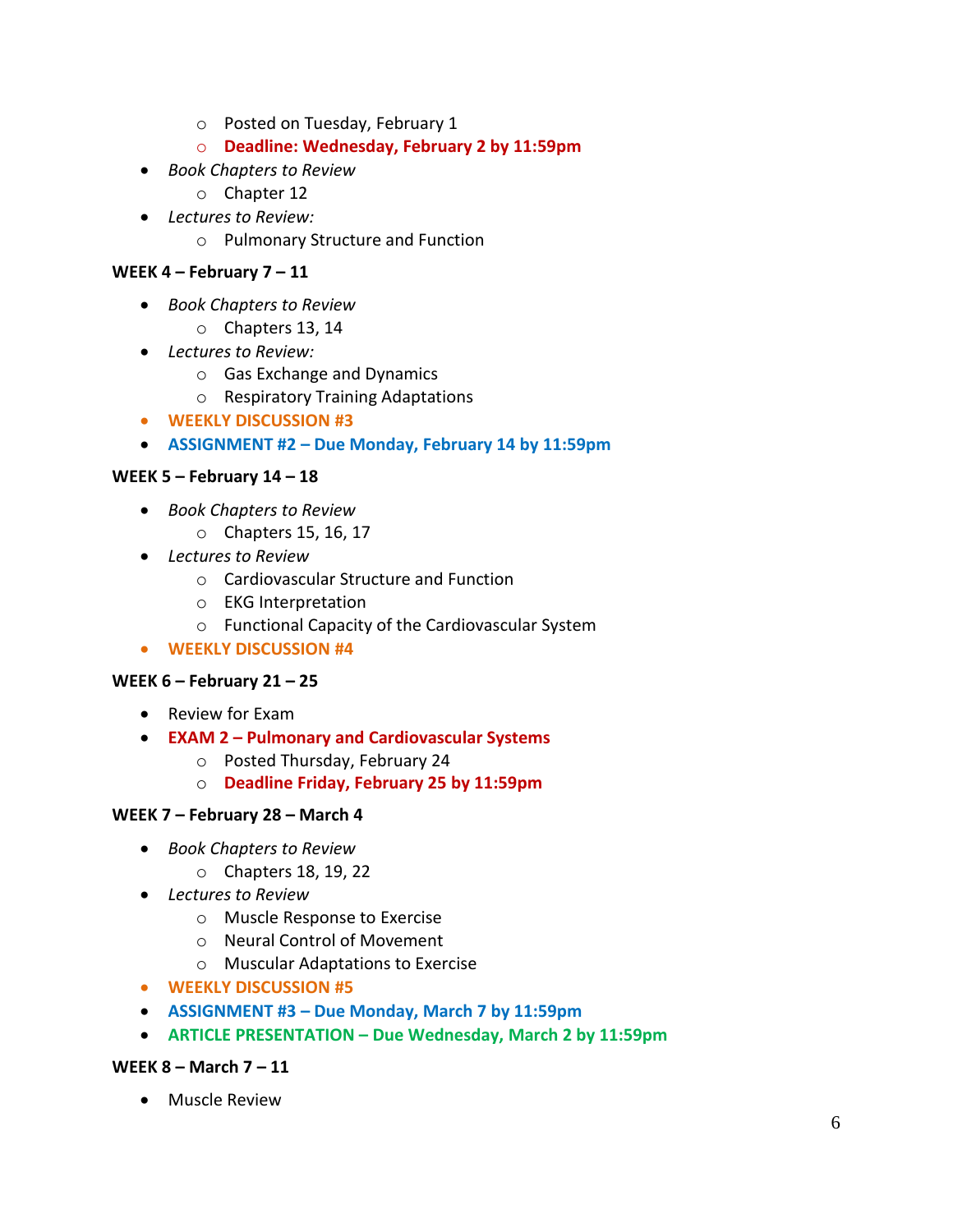- o Posted on Tuesday, February 1
- o **Deadline: Wednesday, February 2 by 11:59pm**
- *Book Chapters to Review*
	- o Chapter 12
- *Lectures to Review:*
	- o Pulmonary Structure and Function

#### **WEEK 4 – February 7 – 11**

- *Book Chapters to Review*
	- o Chapters 13, 14
- *Lectures to Review:*
	- o Gas Exchange and Dynamics
	- o Respiratory Training Adaptations
- **WEEKLY DISCUSSION #3**
- **ASSIGNMENT #2 – Due Monday, February 14 by 11:59pm**

#### **WEEK 5 – February 14 – 18**

- *Book Chapters to Review*
	- o Chapters 15, 16, 17
- *Lectures to Review*
	- o Cardiovascular Structure and Function
	- o EKG Interpretation
	- o Functional Capacity of the Cardiovascular System
- **WEEKLY DISCUSSION #4**

#### **WEEK 6 – February 21 – 25**

- Review for Exam
- **EXAM 2 – Pulmonary and Cardiovascular Systems**
	- o Posted Thursday, February 24
	- o **Deadline Friday, February 25 by 11:59pm**

#### **WEEK 7 – February 28 – March 4**

- *Book Chapters to Review*
	- o Chapters 18, 19, 22
- *Lectures to Review*
	- o Muscle Response to Exercise
	- o Neural Control of Movement
	- o Muscular Adaptations to Exercise
- **WEEKLY DISCUSSION #5**
- **ASSIGNMENT #3 – Due Monday, March 7 by 11:59pm**
- **ARTICLE PRESENTATION – Due Wednesday, March 2 by 11:59pm**

#### **WEEK 8 – March 7 – 11**

• Muscle Review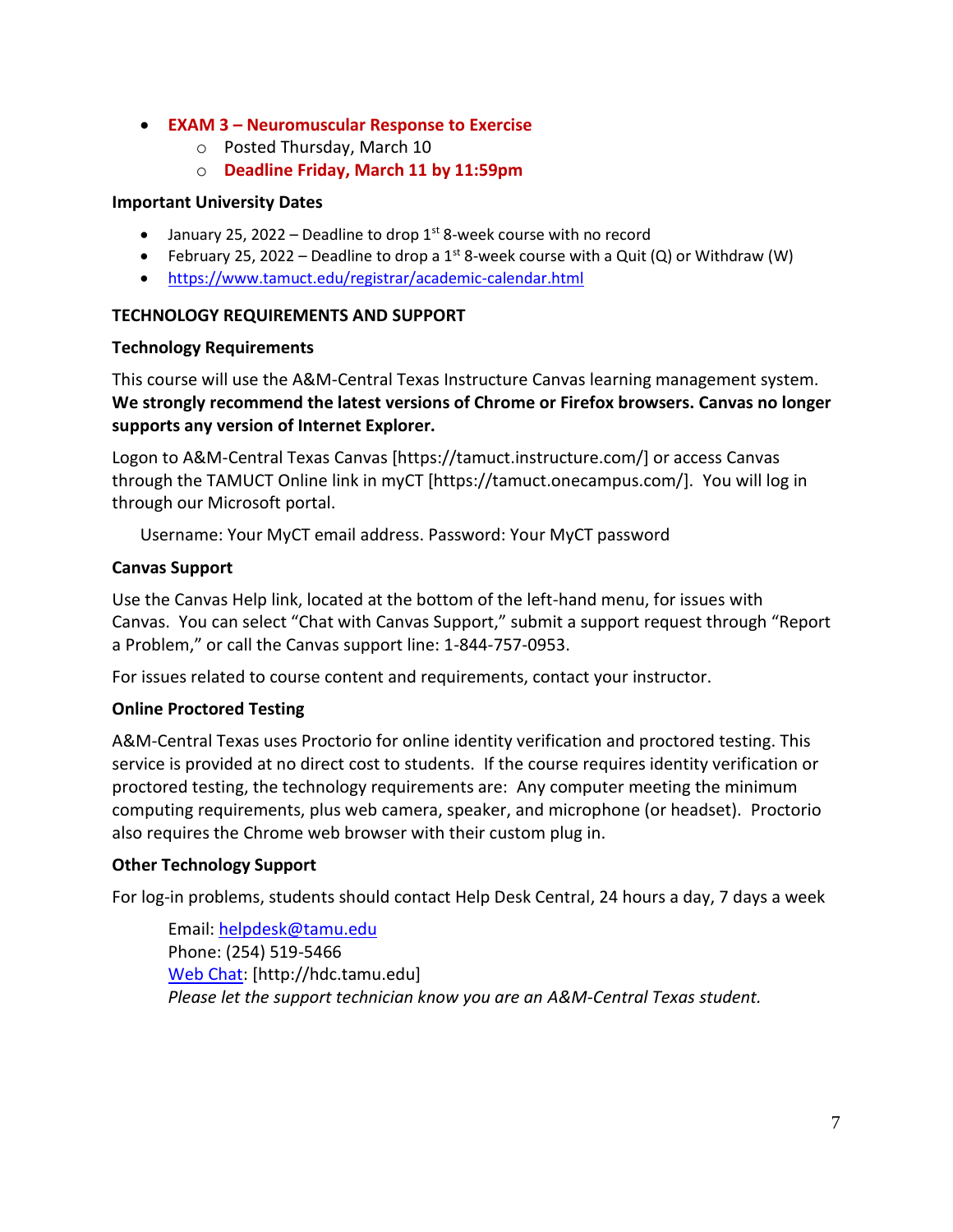### • **EXAM 3 – Neuromuscular Response to Exercise**

- o Posted Thursday, March 10
- o **Deadline Friday, March 11 by 11:59pm**

### **Important University Dates**

- January 25, 2022 Deadline to drop  $1<sup>st</sup>$  8-week course with no record
- February 25, 2022 Deadline to drop a 1st 8-week course with a Quit (Q) or Withdraw (W)
- <https://www.tamuct.edu/registrar/academic-calendar.html>

## **TECHNOLOGY REQUIREMENTS AND SUPPORT**

### **Technology Requirements**

This course will use the A&M-Central Texas Instructure Canvas learning management system. **We strongly recommend the latest versions of Chrome or Firefox browsers. Canvas no longer supports any version of Internet Explorer.**

Logon to A&M-Central Texas Canvas [https://tamuct.instructure.com/] or access Canvas through the TAMUCT Online link in myCT [https://tamuct.onecampus.com/]. You will log in through our Microsoft portal.

Username: Your MyCT email address. Password: Your MyCT password

## **Canvas Support**

Use the Canvas Help link, located at the bottom of the left-hand menu, for issues with Canvas. You can select "Chat with Canvas Support," submit a support request through "Report a Problem," or call the Canvas support line: 1-844-757-0953.

For issues related to course content and requirements, contact your instructor.

## **Online Proctored Testing**

A&M-Central Texas uses Proctorio for online identity verification and proctored testing. This service is provided at no direct cost to students. If the course requires identity verification or proctored testing, the technology requirements are: Any computer meeting the minimum computing requirements, plus web camera, speaker, and microphone (or headset). Proctorio also requires the Chrome web browser with their custom plug in.

## **Other Technology Support**

For log-in problems, students should contact Help Desk Central, 24 hours a day, 7 days a week

Email: [helpdesk@tamu.edu](mailto:helpdesk@tamu.edu) Phone: (254) 519-5466 [Web Chat:](http://hdc.tamu.edu/) [http://hdc.tamu.edu] *Please let the support technician know you are an A&M-Central Texas student.*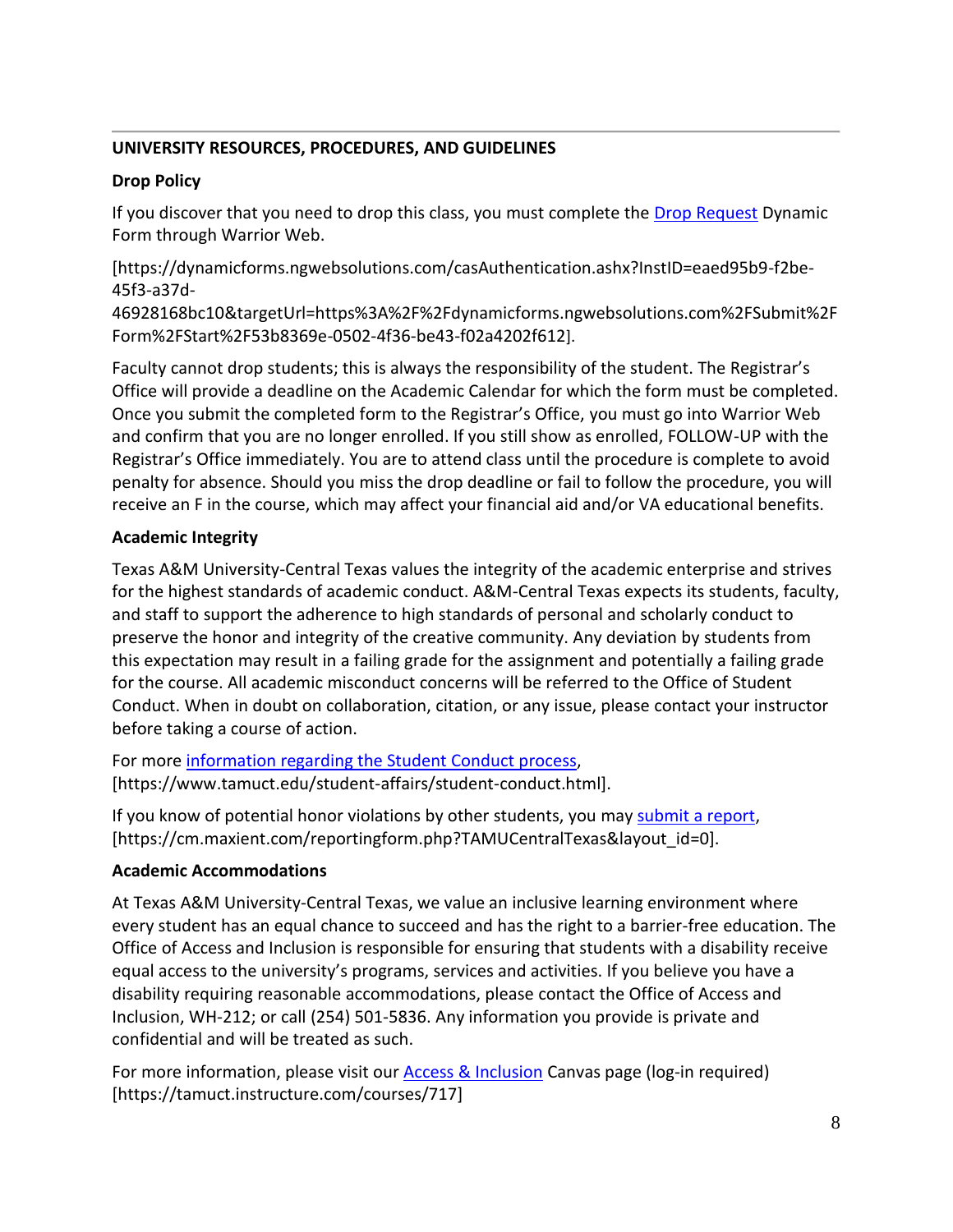# **UNIVERSITY RESOURCES, PROCEDURES, AND GUIDELINES**

# **Drop Policy**

If you discover that you need to drop this class, you must complete the [Drop Request](https://dynamicforms.ngwebsolutions.com/casAuthentication.ashx?InstID=eaed95b9-f2be-45f3-a37d-46928168bc10&targetUrl=https%3A%2F%2Fdynamicforms.ngwebsolutions.com%2FSubmit%2FForm%2FStart%2F53b8369e-0502-4f36-be43-f02a4202f612) Dynamic Form through Warrior Web.

[https://dynamicforms.ngwebsolutions.com/casAuthentication.ashx?InstID=eaed95b9-f2be-45f3-a37d-

46928168bc10&targetUrl=https%3A%2F%2Fdynamicforms.ngwebsolutions.com%2FSubmit%2F Form%2FStart%2F53b8369e-0502-4f36-be43-f02a4202f612].

Faculty cannot drop students; this is always the responsibility of the student. The Registrar's Office will provide a deadline on the Academic Calendar for which the form must be completed. Once you submit the completed form to the Registrar's Office, you must go into Warrior Web and confirm that you are no longer enrolled. If you still show as enrolled, FOLLOW-UP with the Registrar's Office immediately. You are to attend class until the procedure is complete to avoid penalty for absence. Should you miss the drop deadline or fail to follow the procedure, you will receive an F in the course, which may affect your financial aid and/or VA educational benefits.

# **Academic Integrity**

Texas A&M University-Central Texas values the integrity of the academic enterprise and strives for the highest standards of academic conduct. A&M-Central Texas expects its students, faculty, and staff to support the adherence to high standards of personal and scholarly conduct to preserve the honor and integrity of the creative community. Any deviation by students from this expectation may result in a failing grade for the assignment and potentially a failing grade for the course. All academic misconduct concerns will be referred to the Office of Student Conduct. When in doubt on collaboration, citation, or any issue, please contact your instructor before taking a course of action.

For more [information](https://nam04.safelinks.protection.outlook.com/?url=https%3A%2F%2Fwww.tamuct.edu%2Fstudent-affairs%2Fstudent-conduct.html&data=04%7C01%7Clisa.bunkowski%40tamuct.edu%7Ccfb6e486f24745f53e1a08d910055cb2%7C9eed4e3000f744849ff193ad8005acec%7C0%7C0%7C637558437485252160%7CUnknown%7CTWFpbGZsb3d8eyJWIjoiMC4wLjAwMDAiLCJQIjoiV2luMzIiLCJBTiI6Ik1haWwiLCJXVCI6Mn0%3D%7C1000&sdata=yjftDEVHvLX%2FhM%2FcFU0B99krV1RgEWR%2BJ%2BhvtoR6TYk%3D&reserved=0) regarding the Student Conduct process, [https://www.tamuct.edu/student-affairs/student-conduct.html].

If you know of potential honor violations by other students, you may [submit](https://nam04.safelinks.protection.outlook.com/?url=https%3A%2F%2Fcm.maxient.com%2Freportingform.php%3FTAMUCentralTexas%26layout_id%3D0&data=04%7C01%7Clisa.bunkowski%40tamuct.edu%7Ccfb6e486f24745f53e1a08d910055cb2%7C9eed4e3000f744849ff193ad8005acec%7C0%7C0%7C637558437485262157%7CUnknown%7CTWFpbGZsb3d8eyJWIjoiMC4wLjAwMDAiLCJQIjoiV2luMzIiLCJBTiI6Ik1haWwiLCJXVCI6Mn0%3D%7C1000&sdata=CXGkOa6uPDPX1IMZ87z3aZDq2n91xfHKu4MMS43Ejjk%3D&reserved=0) a report, [https://cm.maxient.com/reportingform.php?TAMUCentralTexas&layout\_id=0].

# **Academic Accommodations**

At Texas A&M University-Central Texas, we value an inclusive learning environment where every student has an equal chance to succeed and has the right to a barrier-free education. The Office of Access and Inclusion is responsible for ensuring that students with a disability receive equal access to the university's programs, services and activities. If you believe you have a disability requiring reasonable accommodations, please contact the Office of Access and Inclusion, WH-212; or call (254) 501-5836. Any information you provide is private and confidential and will be treated as such.

For more information, please visit our **Access & Inclusion** Canvas page (log-in required) [https://tamuct.instructure.com/courses/717]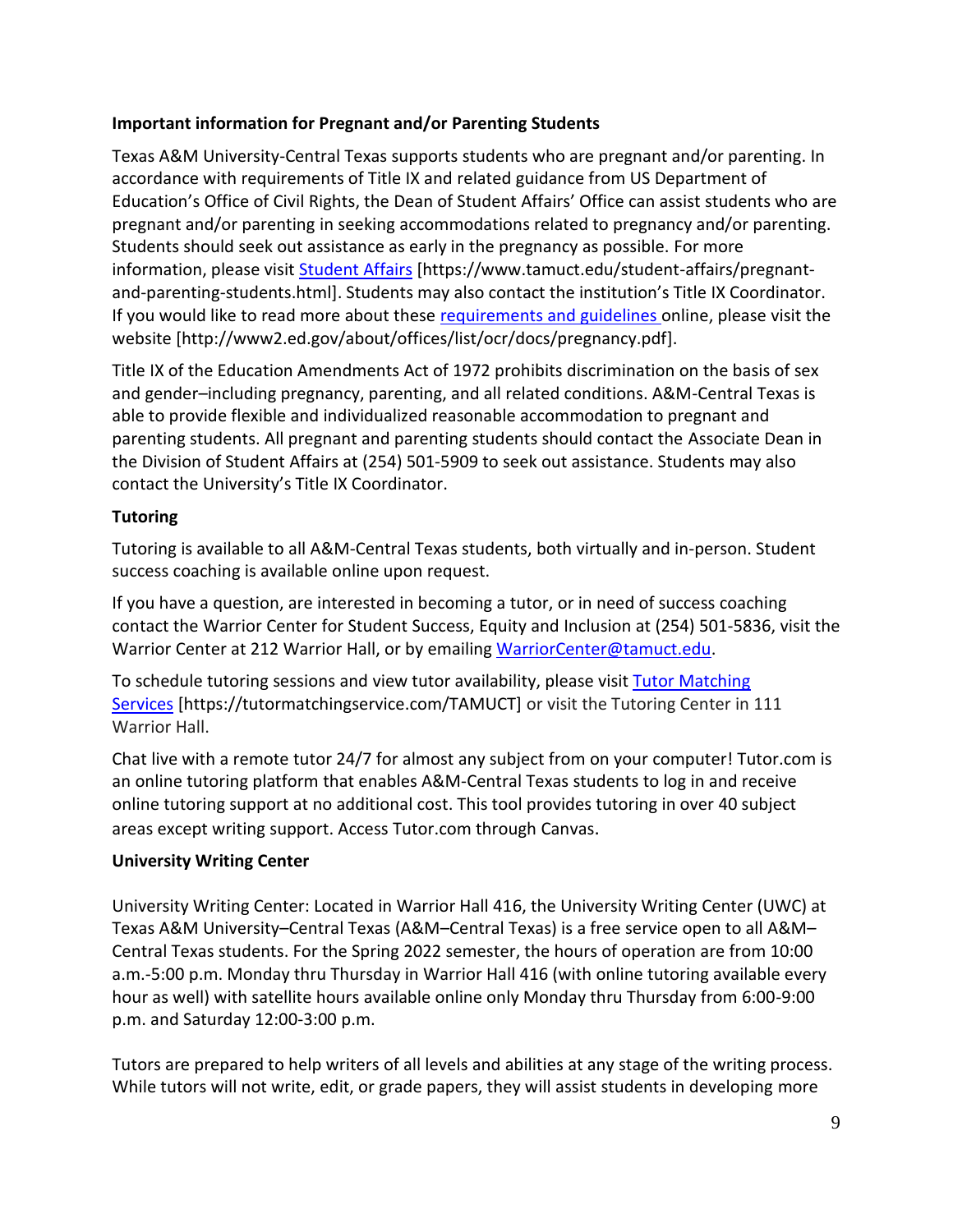## **Important information for Pregnant and/or Parenting Students**

Texas A&M University-Central Texas supports students who are pregnant and/or parenting. In accordance with requirements of Title IX and related guidance from US Department of Education's Office of Civil Rights, the Dean of Student Affairs' Office can assist students who are pregnant and/or parenting in seeking accommodations related to pregnancy and/or parenting. Students should seek out assistance as early in the pregnancy as possible. For more information, please visit [Student Affairs](https://www.tamuct.edu/student-affairs/pregnant-and-parenting-students.html) [https://www.tamuct.edu/student-affairs/pregnantand-parenting-students.html]. Students may also contact the institution's Title IX Coordinator. If you would like to read more about these [requirements and guidelines](http://www2.ed.gov/about/offices/list/ocr/docs/pregnancy.pdf) online, please visit the website [http://www2.ed.gov/about/offices/list/ocr/docs/pregnancy.pdf].

Title IX of the Education Amendments Act of 1972 prohibits discrimination on the basis of sex and gender–including pregnancy, parenting, and all related conditions. A&M-Central Texas is able to provide flexible and individualized reasonable accommodation to pregnant and parenting students. All pregnant and parenting students should contact the Associate Dean in the Division of Student Affairs at (254) 501-5909 to seek out assistance. Students may also contact the University's Title IX Coordinator.

# **Tutoring**

Tutoring is available to all A&M-Central Texas students, both virtually and in-person. Student success coaching is available online upon request.

If you have a question, are interested in becoming a tutor, or in need of success coaching contact the Warrior Center for Student Success, Equity and Inclusion at (254) 501-5836, visit the Warrior Center at 212 Warrior Hall, or by emailing [WarriorCenter@tamuct.edu.](mailto:WarriorCenter@tamuct.edu)

To schedule tutoring sessions and view tutor availability, please visit Tutor [Matching](https://tutormatchingservice.com/TAMUCT) [Services](https://tutormatchingservice.com/TAMUCT) [https://tutormatchingservice.com/TAMUCT] or visit the Tutoring Center in 111 Warrior Hall.

Chat live with a remote tutor 24/7 for almost any subject from on your computer! Tutor.com is an online tutoring platform that enables A&M-Central Texas students to log in and receive online tutoring support at no additional cost. This tool provides tutoring in over 40 subject areas except writing support. Access Tutor.com through Canvas.

# **University Writing Center**

University Writing Center: Located in Warrior Hall 416, the University Writing Center (UWC) at Texas A&M University–Central Texas (A&M–Central Texas) is a free service open to all A&M– Central Texas students. For the Spring 2022 semester, the hours of operation are from 10:00 a.m.-5:00 p.m. Monday thru Thursday in Warrior Hall 416 (with online tutoring available every hour as well) with satellite hours available online only Monday thru Thursday from 6:00-9:00 p.m. and Saturday 12:00-3:00 p.m.

Tutors are prepared to help writers of all levels and abilities at any stage of the writing process. While tutors will not write, edit, or grade papers, they will assist students in developing more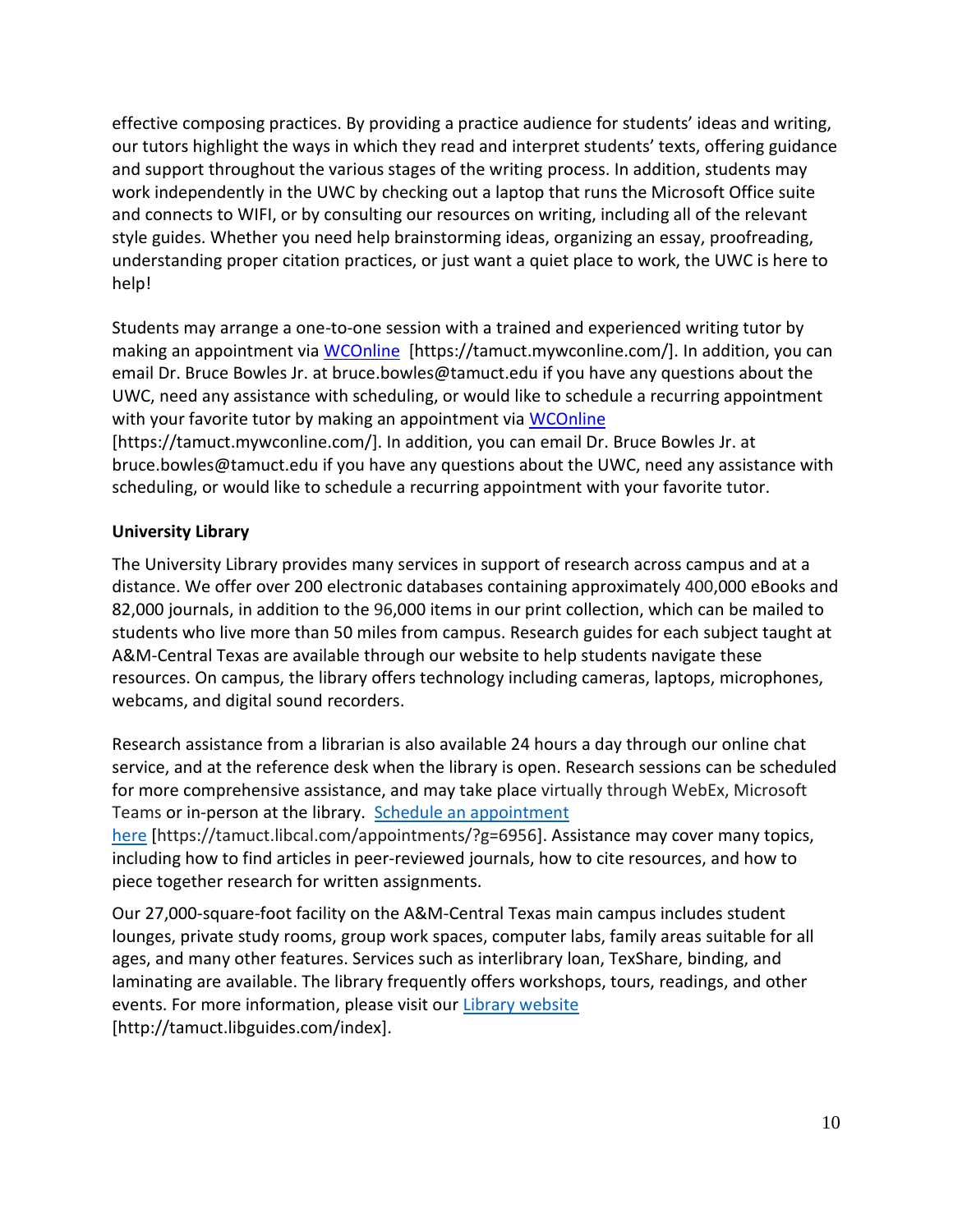effective composing practices. By providing a practice audience for students' ideas and writing, our tutors highlight the ways in which they read and interpret students' texts, offering guidance and support throughout the various stages of the writing process. In addition, students may work independently in the UWC by checking out a laptop that runs the Microsoft Office suite and connects to WIFI, or by consulting our resources on writing, including all of the relevant style guides. Whether you need help brainstorming ideas, organizing an essay, proofreading, understanding proper citation practices, or just want a quiet place to work, the UWC is here to help!

Students may arrange a one-to-one session with a trained and experienced writing tutor by making an appointment via [WCOnline](https://tamuct.mywconline.com/) [https://tamuct.mywconline.com/]. In addition, you can email Dr. Bruce Bowles Jr. at bruce.bowles@tamuct.edu if you have any questions about the UWC, need any assistance with scheduling, or would like to schedule a recurring appointment with your favorite tutor by making an appointment via [WCOnline](https://tamuct.mywconline.com/) [https://tamuct.mywconline.com/]. In addition, you can email Dr. Bruce Bowles Jr. at

bruce.bowles@tamuct.edu if you have any questions about the UWC, need any assistance with scheduling, or would like to schedule a recurring appointment with your favorite tutor.

### **University Library**

The University Library provides many services in support of research across campus and at a distance. We offer over 200 electronic databases containing approximately 400,000 eBooks and 82,000 journals, in addition to the 96,000 items in our print collection, which can be mailed to students who live more than 50 miles from campus. Research guides for each subject taught at A&M-Central Texas are available through our website to help students navigate these resources. On campus, the library offers technology including cameras, laptops, microphones, webcams, and digital sound recorders.

Research assistance from a librarian is also available 24 hours a day through our online chat service, and at the reference desk when the library is open. Research sessions can be scheduled for more comprehensive assistance, and may take place virtually through WebEx, Microsoft Teams or in-person at the library. Schedule an [appointment](https://nam04.safelinks.protection.outlook.com/?url=https%3A%2F%2Ftamuct.libcal.com%2Fappointments%2F%3Fg%3D6956&data=04%7C01%7Clisa.bunkowski%40tamuct.edu%7Cde2c07d9f5804f09518008d9ab7ba6ff%7C9eed4e3000f744849ff193ad8005acec%7C0%7C0%7C637729369835011558%7CUnknown%7CTWFpbGZsb3d8eyJWIjoiMC4wLjAwMDAiLCJQIjoiV2luMzIiLCJBTiI6Ik1haWwiLCJXVCI6Mn0%3D%7C3000&sdata=KhtjgRSAw9aq%2FoBsB6wyu8b7PSuGN5EGPypzr3Ty2No%3D&reserved=0)

[here](https://nam04.safelinks.protection.outlook.com/?url=https%3A%2F%2Ftamuct.libcal.com%2Fappointments%2F%3Fg%3D6956&data=04%7C01%7Clisa.bunkowski%40tamuct.edu%7Cde2c07d9f5804f09518008d9ab7ba6ff%7C9eed4e3000f744849ff193ad8005acec%7C0%7C0%7C637729369835011558%7CUnknown%7CTWFpbGZsb3d8eyJWIjoiMC4wLjAwMDAiLCJQIjoiV2luMzIiLCJBTiI6Ik1haWwiLCJXVCI6Mn0%3D%7C3000&sdata=KhtjgRSAw9aq%2FoBsB6wyu8b7PSuGN5EGPypzr3Ty2No%3D&reserved=0) [https://tamuct.libcal.com/appointments/?g=6956]. Assistance may cover many topics, including how to find articles in peer-reviewed journals, how to cite resources, and how to piece together research for written assignments.

Our 27,000-square-foot facility on the A&M-Central Texas main campus includes student lounges, private study rooms, group work spaces, computer labs, family areas suitable for all ages, and many other features. Services such as interlibrary loan, TexShare, binding, and laminating are available. The library frequently offers workshops, tours, readings, and other events. For more information, please visit our Library [website](https://nam04.safelinks.protection.outlook.com/?url=https%3A%2F%2Ftamuct.libguides.com%2Findex&data=04%7C01%7Clisa.bunkowski%40tamuct.edu%7C7d8489e8839a4915335f08d916f067f2%7C9eed4e3000f744849ff193ad8005acec%7C0%7C0%7C637566044056484222%7CUnknown%7CTWFpbGZsb3d8eyJWIjoiMC4wLjAwMDAiLCJQIjoiV2luMzIiLCJBTiI6Ik1haWwiLCJXVCI6Mn0%3D%7C1000&sdata=2R755V6rcIyedGrd4Os5rkgn1PvhHKU3kUV1vBKiHFo%3D&reserved=0) [http://tamuct.libguides.com/index].